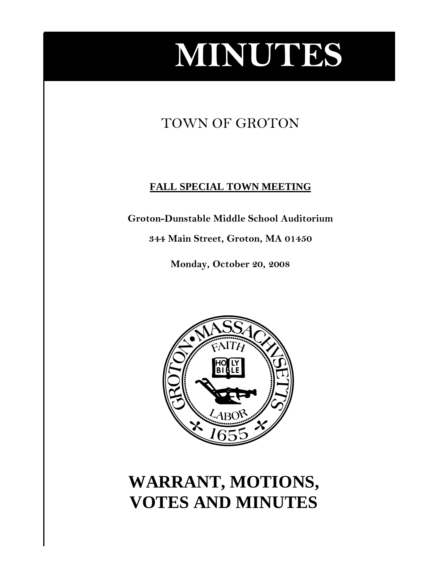# **MINUTES**

## TOWN OF GROTON

### **FALL SPECIAL TOWN MEETING**

**Groton-Dunstable Middle School Auditorium** 

**344 Main Street, Groton, MA 01450** 

**Monday, October 20, 2008** 



# **WARRANT, MOTIONS, VOTES AND MINUTES**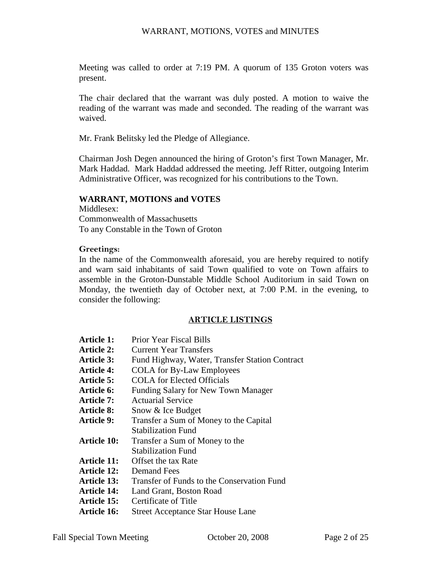Meeting was called to order at 7:19 PM. A quorum of 135 Groton voters was present.

The chair declared that the warrant was duly posted. A motion to waive the reading of the warrant was made and seconded. The reading of the warrant was waived.

Mr. Frank Belitsky led the Pledge of Allegiance.

Chairman Josh Degen announced the hiring of Groton's first Town Manager, Mr. Mark Haddad. Mark Haddad addressed the meeting. Jeff Ritter, outgoing Interim Administrative Officer, was recognized for his contributions to the Town.

#### **WARRANT, MOTIONS and VOTES**

Middlesex: Commonwealth of Massachusetts To any Constable in the Town of Groton

#### **Greetings:**

In the name of the Commonwealth aforesaid, you are hereby required to notify and warn said inhabitants of said Town qualified to vote on Town affairs to assemble in the Groton-Dunstable Middle School Auditorium in said Town on Monday, the twentieth day of October next, at 7:00 P.M. in the evening, to consider the following:

#### **ARTICLE LISTINGS**

| Article 1:         | <b>Prior Year Fiscal Bills</b>                 |
|--------------------|------------------------------------------------|
| Article 2:         | Current Year Transfers                         |
| <b>Article 3:</b>  | Fund Highway, Water, Transfer Station Contract |
| <b>Article 4:</b>  | <b>COLA</b> for By-Law Employees               |
| <b>Article 5:</b>  | <b>COLA</b> for Elected Officials              |
| Article 6:         | Funding Salary for New Town Manager            |
| Article 7:         | Actuarial Service                              |
| <b>Article 8:</b>  | Snow & Ice Budget                              |
| <b>Article 9:</b>  | Transfer a Sum of Money to the Capital         |
|                    | <b>Stabilization Fund</b>                      |
| <b>Article 10:</b> | Transfer a Sum of Money to the                 |
|                    | <b>Stabilization Fund</b>                      |
| Article 11:        | Offset the tax Rate                            |
| <b>Article 12:</b> | Demand Fees                                    |
| <b>Article 13:</b> | Transfer of Funds to the Conservation Fund     |
| <b>Article 14:</b> | Land Grant, Boston Road                        |

- **Article 15:** Certificate of Title
- **Article 16:** Street Acceptance Star House Lane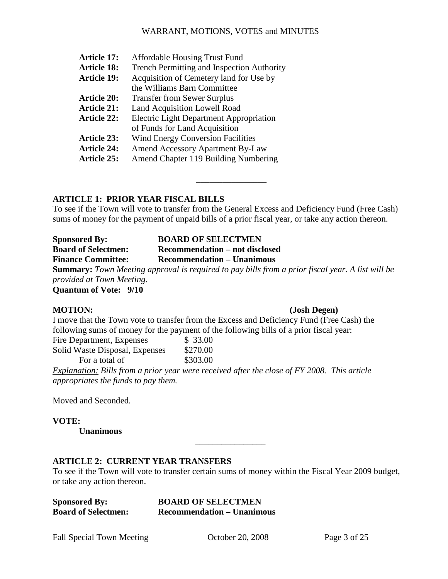| <b>Article 17:</b> | <b>Affordable Housing Trust Fund</b>              |
|--------------------|---------------------------------------------------|
| <b>Article 18:</b> | <b>Trench Permitting and Inspection Authority</b> |
| <b>Article 19:</b> | Acquisition of Cemetery land for Use by           |
|                    | the Williams Barn Committee                       |
| <b>Article 20:</b> | <b>Transfer from Sewer Surplus</b>                |
| <b>Article 21:</b> | Land Acquisition Lowell Road                      |
| <b>Article 22:</b> | <b>Electric Light Department Appropriation</b>    |
|                    | of Funds for Land Acquisition                     |
| <b>Article 23:</b> | <b>Wind Energy Conversion Facilities</b>          |
| <b>Article 24:</b> | <b>Amend Accessory Apartment By-Law</b>           |
| <b>Article 25:</b> | Amend Chapter 119 Building Numbering              |
|                    |                                                   |

### **ARTICLE 1: PRIOR YEAR FISCAL BILLS**

To see if the Town will vote to transfer from the General Excess and Deficiency Fund (Free Cash) sums of money for the payment of unpaid bills of a prior fiscal year, or take any action thereon.

\_\_\_\_\_\_\_\_\_\_\_\_\_\_\_\_

**Sponsored By: BOARD OF SELECTMEN Board of Selectmen: Recommendation – not disclosed Finance Committee: Recommendation – Unanimous Summary:** *Town Meeting approval is required to pay bills from a prior fiscal year. A list will be provided at Town Meeting.* 

**Quantum of Vote: 9/10** 

#### **MOTION: (Josh Degen)**

I move that the Town vote to transfer from the Excess and Deficiency Fund (Free Cash) the following sums of money for the payment of the following bills of a prior fiscal year:

| Fire Department, Expenses      | \$33.00  |
|--------------------------------|----------|
| Solid Waste Disposal, Expenses | \$270.00 |
| For a total of                 | \$303.00 |

*Explanation: Bills from a prior year were received after the close of FY 2008. This article appropriates the funds to pay them.* 

Moved and Seconded.

#### **VOTE:**

 **Unanimous** 

#### **ARTICLE 2: CURRENT YEAR TRANSFERS**

To see if the Town will vote to transfer certain sums of money within the Fiscal Year 2009 budget, or take any action thereon.

| <b>Sponsored By:</b>       | <b>BOARD OF SELECTMEN</b>         |
|----------------------------|-----------------------------------|
| <b>Board of Selectmen:</b> | <b>Recommendation – Unanimous</b> |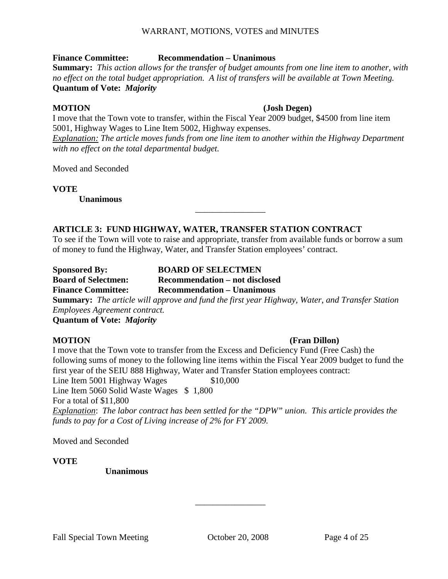#### **Finance Committee: Recommendation – Unanimous**

**Summary:** *This action allows for the transfer of budget amounts from one line item to another, with no effect on the total budget appropriation. A list of transfers will be available at Town Meeting.* **Quantum of Vote:** *Majority* 

#### **MOTION (Josh Degen)**

I move that the Town vote to transfer, within the Fiscal Year 2009 budget, \$4500 from line item 5001, Highway Wages to Line Item 5002, Highway expenses.

*Explanation: The article moves funds from one line item to another within the Highway Department with no effect on the total departmental budget.* 

Moved and Seconded

**VOTE** 

 **Unanimous** 

#### **ARTICLE 3: FUND HIGHWAY, WATER, TRANSFER STATION CONTRACT**

To see if the Town will vote to raise and appropriate, transfer from available funds or borrow a sum of money to fund the Highway, Water, and Transfer Station employees' contract.

\_\_\_\_\_\_\_\_\_\_\_\_\_\_\_\_

**Sponsored By: BOARD OF SELECTMEN Board of Selectmen: Recommendation – not disclosed Finance Committee: Recommendation – Unanimous Summary:** *The article will approve and fund the first year Highway, Water, and Transfer Station Employees Agreement contract.* 

**Quantum of Vote:** *Majority* 

### **MOTION (Fran Dillon)**

I move that the Town vote to transfer from the Excess and Deficiency Fund (Free Cash) the following sums of money to the following line items within the Fiscal Year 2009 budget to fund the first year of the SEIU 888 Highway, Water and Transfer Station employees contract: Line Item 5001 Highway Wages \$10,000 Line Item 5060 Solid Waste Wages \$1,800 For a total of \$11,800 *Explanation*: *The labor contract has been settled for the "DPW" union. This article provides the funds to pay for a Cost of Living increase of 2% for FY 2009.* 

Moved and Seconded

#### **VOTE**

 **Unanimous**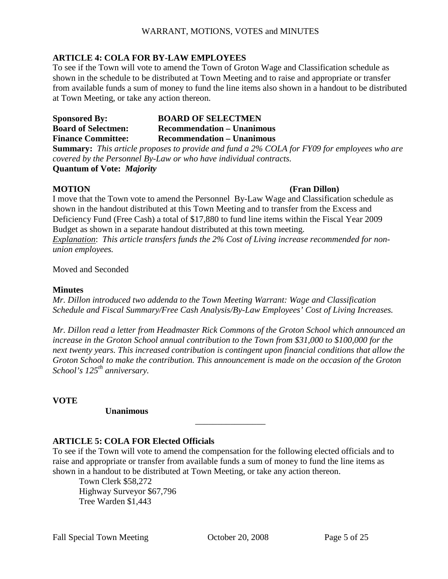#### **ARTICLE 4: COLA FOR BY-LAW EMPLOYEES**

To see if the Town will vote to amend the Town of Groton Wage and Classification schedule as shown in the schedule to be distributed at Town Meeting and to raise and appropriate or transfer from available funds a sum of money to fund the line items also shown in a handout to be distributed at Town Meeting, or take any action thereon.

**Sponsored By: BOARD OF SELECTMEN Board of Selectmen: Recommendation – Unanimous Finance Committee: Recommendation – Unanimous** 

**Summary:** *This article proposes to provide and fund a 2% COLA for FY09 for employees who are covered by the Personnel By-Law or who have individual contracts.*  **Quantum of Vote:** *Majority* 

#### **MOTION (Fran Dillon)**

I move that the Town vote to amend the Personnel By-Law Wage and Classification schedule as shown in the handout distributed at this Town Meeting and to transfer from the Excess and Deficiency Fund (Free Cash) a total of \$17,880 to fund line items within the Fiscal Year 2009 Budget as shown in a separate handout distributed at this town meeting. *Explanation*: *This article transfers funds the 2% Cost of Living increase recommended for nonunion employees.* 

Moved and Seconded

#### **Minutes**

*Mr. Dillon introduced two addenda to the Town Meeting Warrant: Wage and Classification Schedule and Fiscal Summary/Free Cash Analysis/By-Law Employees' Cost of Living Increases.* 

*Mr. Dillon read a letter from Headmaster Rick Commons of the Groton School which announced an increase in the Groton School annual contribution to the Town from \$31,000 to \$100,000 for the next twenty years. This increased contribution is contingent upon financial conditions that allow the Groton School to make the contribution. This announcement is made on the occasion of the Groton School's 125th anniversary.* 

**VOTE** 

 **Unanimous** 

#### **ARTICLE 5: COLA FOR Elected Officials**

To see if the Town will vote to amend the compensation for the following elected officials and to raise and appropriate or transfer from available funds a sum of money to fund the line items as shown in a handout to be distributed at Town Meeting, or take any action thereon.

\_\_\_\_\_\_\_\_\_\_\_\_\_\_\_\_

Town Clerk \$58,272 Highway Surveyor \$67,796 Tree Warden \$1,443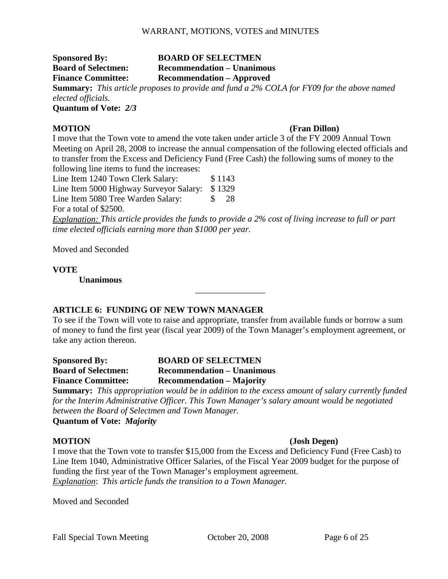#### **Sponsored By: BOARD OF SELECTMEN Board of Selectmen: Recommendation – Unanimous Finance Committee: Recommendation – Approved**

**Summary:** *This article proposes to provide and fund a 2% COLA for FY09 for the above named elected officials.* 

**Quantum of Vote:** *2/3* 

#### **MOTION (Fran Dillon)**

I move that the Town vote to amend the vote taken under article 3 of the FY 2009 Annual Town Meeting on April 28, 2008 to increase the annual compensation of the following elected officials and to transfer from the Excess and Deficiency Fund (Free Cash) the following sums of money to the following line items to fund the increases:

Line Item 1240 Town Clerk Salary: \$1143

Line Item 5000 Highway Surveyor Salary: \$1329 Line Item 5080 Tree Warden Salary: \$ 28

For a total of \$2500.

*Explanation: This article provides the funds to provide a 2% cost of living increase to full or part time elected officials earning more than \$1000 per year.* 

Moved and Seconded

**VOTE** 

 **Unanimous** 

### **ARTICLE 6: FUNDING OF NEW TOWN MANAGER**

To see if the Town will vote to raise and appropriate, transfer from available funds or borrow a sum of money to fund the first year (fiscal year 2009) of the Town Manager's employment agreement, or take any action thereon.

\_\_\_\_\_\_\_\_\_\_\_\_\_\_\_\_

| <b>Sponsored By:</b>       | <b>BOARD OF SELECTMEN</b>         |  |  |  |  |
|----------------------------|-----------------------------------|--|--|--|--|
| <b>Board of Selectmen:</b> | <b>Recommendation – Unanimous</b> |  |  |  |  |
| <b>Finance Committee:</b>  | <b>Recommendation – Majority</b>  |  |  |  |  |
| $\sim$<br>$-1$             | .                                 |  |  |  |  |

**Summary:** *This appropriation would be in addition to the excess amount of salary currently funded for the Interim Administrative Officer. This Town Manager's salary amount would be negotiated between the Board of Selectmen and Town Manager.*

**Quantum of Vote:** *Majority* 

#### **MOTION (Josh Degen)**

I move that the Town vote to transfer \$15,000 from the Excess and Deficiency Fund (Free Cash) to Line Item 1040, Administrative Officer Salaries, of the Fiscal Year 2009 budget for the purpose of funding the first year of the Town Manager's employment agreement. *Explanation*: *This article funds the transition to a Town Manager.* 

Moved and Seconded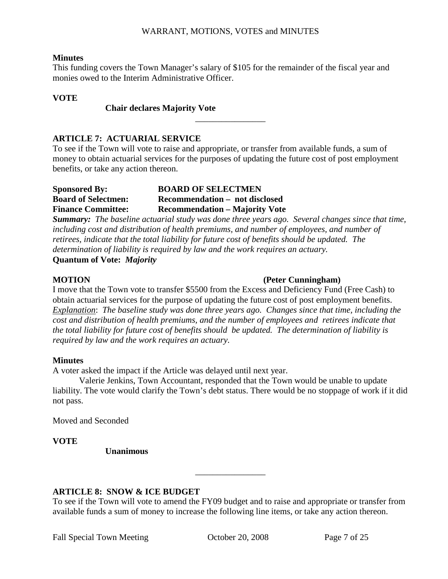#### **Minutes**

This funding covers the Town Manager's salary of \$105 for the remainder of the fiscal year and monies owed to the Interim Administrative Officer.

#### **VOTE**

#### **Chair declares Majority Vote**

### **ARTICLE 7: ACTUARIAL SERVICE**

To see if the Town will vote to raise and appropriate, or transfer from available funds, a sum of money to obtain actuarial services for the purposes of updating the future cost of post employment benefits, or take any action thereon.

\_\_\_\_\_\_\_\_\_\_\_\_\_\_\_\_

#### **Sponsored By: BOARD OF SELECTMEN Board of Selectmen: Recommendation – not disclosed Finance Committee: Recommendation – Majority Vote**

*Summary: The baseline actuarial study was done three years ago. Several changes since that time, including cost and distribution of health premiums, and number of employees, and number of retirees, indicate that the total liability for future cost of benefits should be updated. The determination of liability is required by law and the work requires an actuary.* 

**Quantum of Vote:** *Majority* 

### **MOTION** (Peter Cunningham)

I move that the Town vote to transfer \$5500 from the Excess and Deficiency Fund (Free Cash) to obtain actuarial services for the purpose of updating the future cost of post employment benefits. *Explanation*: *The baseline study was done three years ago. Changes since that time, including the cost and distribution of health premiums, and the number of employees and retirees indicate that the total liability for future cost of benefits should be updated. The determination of liability is required by law and the work requires an actuary.* 

### **Minutes**

A voter asked the impact if the Article was delayed until next year.

 Valerie Jenkins, Town Accountant, responded that the Town would be unable to update liability. The vote would clarify the Town's debt status. There would be no stoppage of work if it did not pass.

Moved and Seconded

**VOTE** 

 **Unanimous** 

### **ARTICLE 8: SNOW & ICE BUDGET**

To see if the Town will vote to amend the FY09 budget and to raise and appropriate or transfer from available funds a sum of money to increase the following line items, or take any action thereon.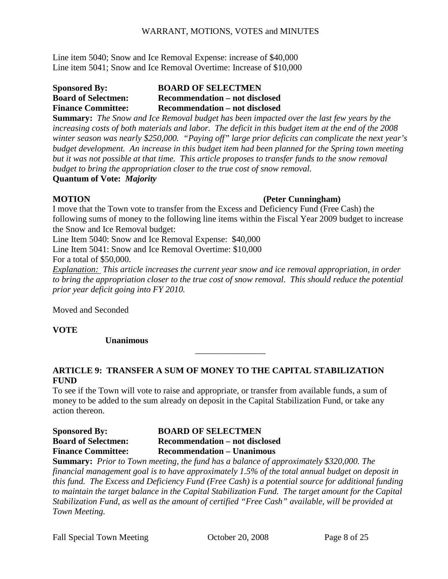Line item 5040; Snow and Ice Removal Expense: increase of \$40,000 Line item 5041; Snow and Ice Removal Overtime: Increase of \$10,000

### **Sponsored By: BOARD OF SELECTMEN Board of Selectmen: Recommendation – not disclosed Finance Committee: Recommendation – not disclosed**

**Summary:** *The Snow and Ice Removal budget has been impacted over the last few years by the increasing costs of both materials and labor. The deficit in this budget item at the end of the 2008 winter season was nearly \$250,000. "Paying off" large prior deficits can complicate the next year's budget development. An increase in this budget item had been planned for the Spring town meeting but it was not possible at that time. This article proposes to transfer funds to the snow removal budget to bring the appropriation closer to the true cost of snow removal.* **Quantum of Vote:** *Majority* 

#### **MOTION (Peter Cunningham)**

I move that the Town vote to transfer from the Excess and Deficiency Fund (Free Cash) the following sums of money to the following line items within the Fiscal Year 2009 budget to increase the Snow and Ice Removal budget:

Line Item 5040: Snow and Ice Removal Expense: \$40,000

Line Item 5041: Snow and Ice Removal Overtime: \$10,000

For a total of \$50,000.

*Explanation: This article increases the current year snow and ice removal appropriation, in order to bring the appropriation closer to the true cost of snow removal. This should reduce the potential prior year deficit going into FY 2010.* 

\_\_\_\_\_\_\_\_\_\_\_\_\_\_\_\_

Moved and Seconded

**VOTE** 

 **Unanimous** 

### **ARTICLE 9: TRANSFER A SUM OF MONEY TO THE CAPITAL STABILIZATION FUND**

To see if the Town will vote to raise and appropriate, or transfer from available funds, a sum of money to be added to the sum already on deposit in the Capital Stabilization Fund, or take any action thereon.

**Sponsored By: BOARD OF SELECTMEN Board of Selectmen: Recommendation – not disclosed Finance Committee: Recommendation – Unanimous** 

**Summary:** *Prior to Town meeting, the fund has a balance of approximately \$320,000. The financial management goal is to have approximately 1.5% of the total annual budget on deposit in this fund. The Excess and Deficiency Fund (Free Cash) is a potential source for additional funding to maintain the target balance in the Capital Stabilization Fund. The target amount for the Capital Stabilization Fund, as well as the amount of certified "Free Cash" available, will be provided at Town Meeting.*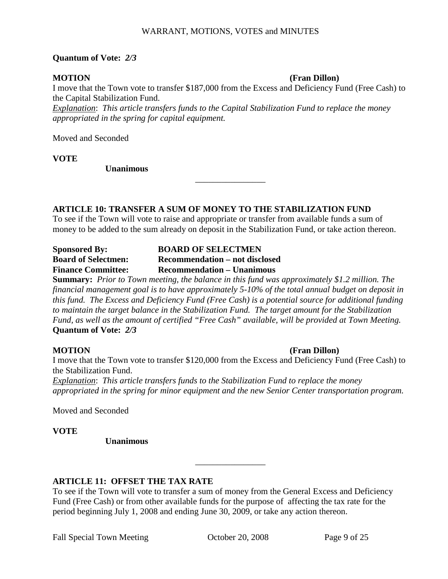#### **Quantum of Vote:** *2/3*

#### **MOTION (Fran Dillon)**

I move that the Town vote to transfer \$187,000 from the Excess and Deficiency Fund (Free Cash) to the Capital Stabilization Fund.

*Explanation*: *This article transfers funds to the Capital Stabilization Fund to replace the money appropriated in the spring for capital equipment.* 

Moved and Seconded

**VOTE** 

 **Unanimous** 

#### **ARTICLE 10: TRANSFER A SUM OF MONEY TO THE STABILIZATION FUND**

To see if the Town will vote to raise and appropriate or transfer from available funds a sum of money to be added to the sum already on deposit in the Stabilization Fund, or take action thereon.

\_\_\_\_\_\_\_\_\_\_\_\_\_\_\_\_

| <b>Sponsored By:</b>       | <b>BOARD OF SELECTMEN</b>         |
|----------------------------|-----------------------------------|
| <b>Board of Selectmen:</b> | Recommendation – not disclosed    |
| <b>Finance Committee:</b>  | <b>Recommendation – Unanimous</b> |

**Summary:** *Prior to Town meeting, the balance in this fund was approximately \$1.2 million. The financial management goal is to have approximately 5-10% of the total annual budget on deposit in this fund. The Excess and Deficiency Fund (Free Cash) is a potential source for additional funding to maintain the target balance in the Stabilization Fund. The target amount for the Stabilization Fund, as well as the amount of certified "Free Cash" available, will be provided at Town Meeting.* **Quantum of Vote:** *2/3* 

#### **MOTION** (Fran Dillon)

I move that the Town vote to transfer \$120,000 from the Excess and Deficiency Fund (Free Cash) to the Stabilization Fund. *Explanation*: *This article transfers funds to the Stabilization Fund to replace the money appropriated in the spring for minor equipment and the new Senior Center transportation program.* 

Moved and Seconded

**VOTE** 

 **Unanimous** 

### **ARTICLE 11: OFFSET THE TAX RATE**

To see if the Town will vote to transfer a sum of money from the General Excess and Deficiency Fund (Free Cash) or from other available funds for the purpose of affecting the tax rate for the period beginning July 1, 2008 and ending June 30, 2009, or take any action thereon.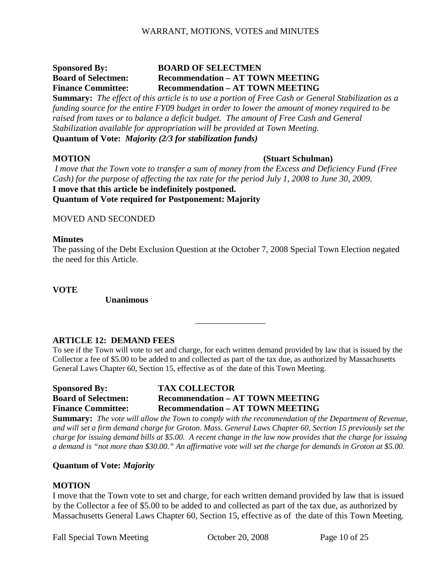### **Sponsored By: BOARD OF SELECTMEN Board of Selectmen: Recommendation – AT TOWN MEETING Finance Committee: Recommendation – AT TOWN MEETING**

**Summary:** *The effect of this article is to use a portion of Free Cash or General Stabilization as a funding source for the entire FY09 budget in order to lower the amount of money required to be raised from taxes or to balance a deficit budget. The amount of Free Cash and General Stabilization available for appropriation will be provided at Town Meeting.*  **Quantum of Vote:** *Majority (2/3 for stabilization funds)* 

#### **MOTION (Stuart Schulman)**

 *I move that the Town vote to transfer a sum of money from the Excess and Deficiency Fund (Free Cash) for the purpose of affecting the tax rate for the period July 1, 2008 to June 30, 2009.*  **I move that this article be indefinitely postponed. Quantum of Vote required for Postponement: Majority** 

#### MOVED AND SECONDED

#### **Minutes**

The passing of the Debt Exclusion Question at the October 7, 2008 Special Town Election negated the need for this Article.

**VOTE** 

 **Unanimous** 

### **ARTICLE 12: DEMAND FEES**

To see if the Town will vote to set and charge, for each written demand provided by law that is issued by the Collector a fee of \$5.00 to be added to and collected as part of the tax due, as authorized by Massachusetts General Laws Chapter 60, Section 15, effective as of the date of this Town Meeting.

\_\_\_\_\_\_\_\_\_\_\_\_\_\_\_\_

**Sponsored By: TAX COLLECTOR Board of Selectmen: Recommendation – AT TOWN MEETING Finance Committee: Recommendation – AT TOWN MEETING** 

**Summary:** *The vote will allow the Town to comply with the recommendation of the Department of Revenue, and will set a firm demand charge for Groton. Mass. General Laws Chapter 60, Section 15 previously set the charge for issuing demand bills at \$5.00. A recent change in the law now provides that the charge for issuing a demand is "not more than \$30.00." An affirmative vote will set the charge for demands in Groton at \$5.00.* 

#### **Quantum of Vote:** *Majority*

#### **MOTION**

I move that the Town vote to set and charge, for each written demand provided by law that is issued by the Collector a fee of \$5.00 to be added to and collected as part of the tax due, as authorized by Massachusetts General Laws Chapter 60, Section 15, effective as of the date of this Town Meeting.

Fall Special Town Meeting Corober 20, 2008 Page 10 of 25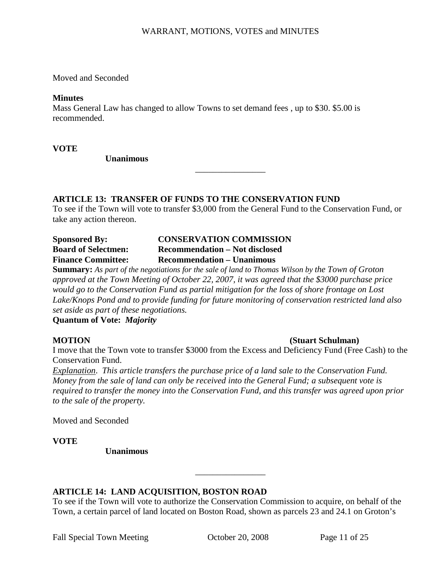Moved and Seconded

#### **Minutes**

Mass General Law has changed to allow Towns to set demand fees , up to \$30. \$5.00 is recommended.

**VOTE** 

 **Unanimous** 

### **ARTICLE 13: TRANSFER OF FUNDS TO THE CONSERVATION FUND**

To see if the Town will vote to transfer \$3,000 from the General Fund to the Conservation Fund, or take any action thereon.

\_\_\_\_\_\_\_\_\_\_\_\_\_\_\_\_

| <b>Sponsored By:</b>       | <b>CONSERVATION COMMISSION</b>    |
|----------------------------|-----------------------------------|
| <b>Board of Selectmen:</b> | Recommendation – Not disclosed    |
| <b>Finance Committee:</b>  | <b>Recommendation – Unanimous</b> |

**Summary:** *As part of the negotiations for the sale of land to Thomas Wilson by the Town of Groton approved at the Town Meeting of October 22, 2007, it was agreed that the \$3000 purchase price would go to the Conservation Fund as partial mitigation for the loss of shore frontage on Lost Lake/Knops Pond and to provide funding for future monitoring of conservation restricted land also set aside as part of these negotiations.*

**Quantum of Vote:** *Majority* 

### **MOTION (Stuart Schulman)**

I move that the Town vote to transfer \$3000 from the Excess and Deficiency Fund (Free Cash) to the Conservation Fund.

*Explanation*. *This article transfers the purchase price of a land sale to the Conservation Fund. Money from the sale of land can only be received into the General Fund; a subsequent vote is required to transfer the money into the Conservation Fund, and this transfer was agreed upon prior to the sale of the property.* 

Moved and Seconded

**VOTE** 

 **Unanimous** 

### **ARTICLE 14: LAND ACQUISITION, BOSTON ROAD**

To see if the Town will vote to authorize the Conservation Commission to acquire, on behalf of the Town, a certain parcel of land located on Boston Road, shown as parcels 23 and 24.1 on Groton's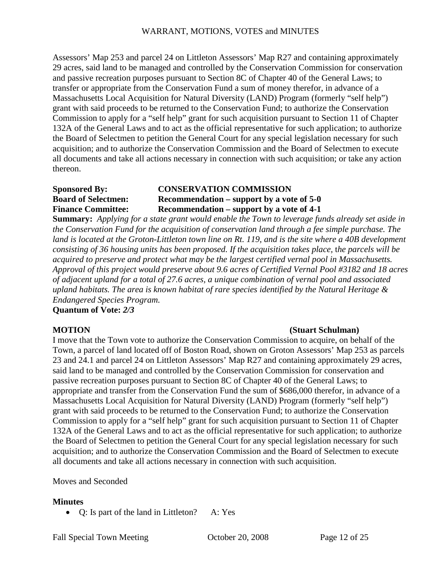Assessors' Map 253 and parcel 24 on Littleton Assessors' Map R27 and containing approximately 29 acres, said land to be managed and controlled by the Conservation Commission for conservation and passive recreation purposes pursuant to Section 8C of Chapter 40 of the General Laws; to transfer or appropriate from the Conservation Fund a sum of money therefor, in advance of a Massachusetts Local Acquisition for Natural Diversity (LAND) Program (formerly "self help") grant with said proceeds to be returned to the Conservation Fund; to authorize the Conservation Commission to apply for a "self help" grant for such acquisition pursuant to Section 11 of Chapter 132A of the General Laws and to act as the official representative for such application; to authorize the Board of Selectmen to petition the General Court for any special legislation necessary for such acquisition; and to authorize the Conservation Commission and the Board of Selectmen to execute all documents and take all actions necessary in connection with such acquisition; or take any action thereon.

### **Sponsored By: CONSERVATION COMMISSION Board of Selectmen: Recommendation – support by a vote of 5-0 Finance Committee: Recommendation – support by a vote of 4-1**

**Summary:** *Applying for a state grant would enable the Town to leverage funds already set aside in the Conservation Fund for the acquisition of conservation land through a fee simple purchase. The land is located at the Groton-Littleton town line on Rt. 119, and is the site where a 40B development consisting of 36 housing units has been proposed. If the acquisition takes place,* t*he parcels will be acquired to preserve and protect what may be the largest certified vernal pool in Massachusetts. Approval of this project would preserve about 9.6 acres of Certified Vernal Pool #3182 and 18 acres of adjacent upland for a total of 27.6 acres, a unique combination of vernal pool and associated upland habitats. The area is known habitat of rare species identified by the Natural Heritage & Endangered Species Program.*

**Quantum of Vote:** *2/3* 

### **MOTION (Stuart Schulman)**

I move that the Town vote to authorize the Conservation Commission to acquire, on behalf of the Town, a parcel of land located off of Boston Road, shown on Groton Assessors' Map 253 as parcels 23 and 24.1 and parcel 24 on Littleton Assessors' Map R27 and containing approximately 29 acres, said land to be managed and controlled by the Conservation Commission for conservation and passive recreation purposes pursuant to Section 8C of Chapter 40 of the General Laws; to appropriate and transfer from the Conservation Fund the sum of \$686,000 therefor, in advance of a Massachusetts Local Acquisition for Natural Diversity (LAND) Program (formerly "self help") grant with said proceeds to be returned to the Conservation Fund; to authorize the Conservation Commission to apply for a "self help" grant for such acquisition pursuant to Section 11 of Chapter 132A of the General Laws and to act as the official representative for such application; to authorize the Board of Selectmen to petition the General Court for any special legislation necessary for such acquisition; and to authorize the Conservation Commission and the Board of Selectmen to execute all documents and take all actions necessary in connection with such acquisition.

### Moves and Seconded

### **Minutes**

• Q: Is part of the land in Littleton? A: Yes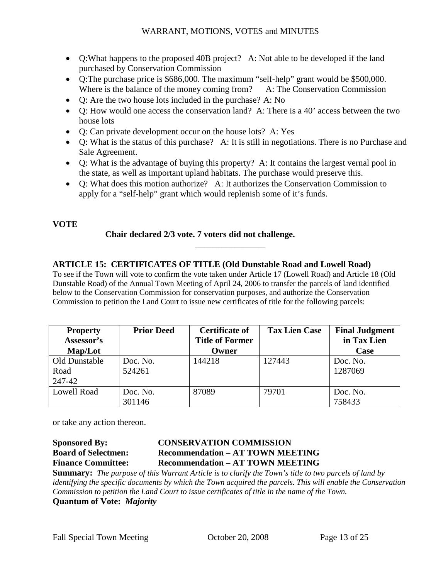- Q:What happens to the proposed 40B project? A: Not able to be developed if the land purchased by Conservation Commission
- Q:The purchase price is \$686,000. The maximum "self-help" grant would be \$500,000. Where is the balance of the money coming from? A: The Conservation Commission
- Q: Are the two house lots included in the purchase? A: No
- Q: How would one access the conservation land? A: There is a 40' access between the two house lots
- Q: Can private development occur on the house lots? A: Yes
- Q: What is the status of this purchase? A: It is still in negotiations. There is no Purchase and Sale Agreement.
- Q: What is the advantage of buying this property? A: It contains the largest vernal pool in the state, as well as important upland habitats. The purchase would preserve this.
- O: What does this motion authorize? A: It authorizes the Conservation Commission to apply for a "self-help" grant which would replenish some of it's funds.

### **VOTE**

### **Chair declared 2/3 vote. 7 voters did not challenge.**

### **ARTICLE 15: CERTIFICATES OF TITLE (Old Dunstable Road and Lowell Road)**

To see if the Town will vote to confirm the vote taken under Article 17 (Lowell Road) and Article 18 (Old Dunstable Road) of the Annual Town Meeting of April 24, 2006 to transfer the parcels of land identified below to the Conservation Commission for conservation purposes, and authorize the Conservation Commission to petition the Land Court to issue new certificates of title for the following parcels:

\_\_\_\_\_\_\_\_\_\_\_\_\_\_\_\_

| <b>Property</b> | <b>Prior Deed</b> | <b>Certificate of</b>  | <b>Tax Lien Case</b> | <b>Final Judgment</b> |
|-----------------|-------------------|------------------------|----------------------|-----------------------|
| Assessor's      |                   | <b>Title of Former</b> |                      | in Tax Lien           |
| Map/Lot         |                   | Owner                  |                      | Case                  |
| Old Dunstable   | Doc. No.          | 144218                 | 127443               | Doc. No.              |
| Road            | 524261            |                        |                      | 1287069               |
| 247-42          |                   |                        |                      |                       |
| Lowell Road     | Doc. No.          | 87089                  | 79701                | Doc. No.              |
|                 | 301146            |                        |                      | 758433                |

or take any action thereon.

### **Sponsored By: CONSERVATION COMMISSION Board of Selectmen: Recommendation – AT TOWN MEETING Finance Committee: Recommendation – AT TOWN MEETING**

**Summary:** *The purpose of this Warrant Article is to clarify the Town's title to two parcels of land by identifying the specific documents by which the Town acquired the parcels. This will enable the Conservation Commission to petition the Land Court to issue certificates of title in the name of the Town.* **Quantum of Vote:** *Majority*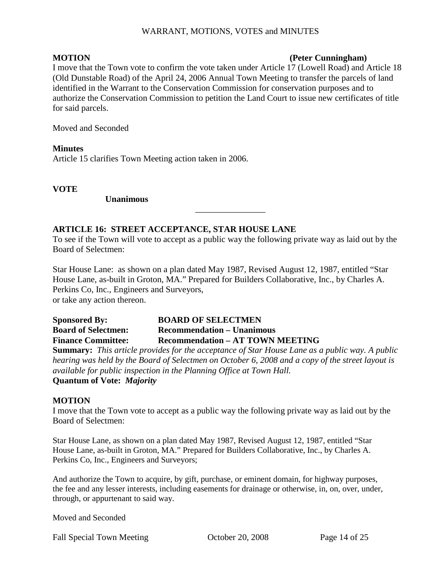#### **MOTION** (Peter Cunningham)

I move that the Town vote to confirm the vote taken under Article 17 (Lowell Road) and Article 18 (Old Dunstable Road) of the April 24, 2006 Annual Town Meeting to transfer the parcels of land identified in the Warrant to the Conservation Commission for conservation purposes and to authorize the Conservation Commission to petition the Land Court to issue new certificates of title for said parcels.

Moved and Seconded

**Minutes**  Article 15 clarifies Town Meeting action taken in 2006.

**VOTE** 

 **Unanimous** 

#### **ARTICLE 16: STREET ACCEPTANCE, STAR HOUSE LANE**

To see if the Town will vote to accept as a public way the following private way as laid out by the Board of Selectmen:

\_\_\_\_\_\_\_\_\_\_\_\_\_\_\_\_

Star House Lane: as shown on a plan dated May 1987, Revised August 12, 1987, entitled "Star House Lane, as-built in Groton, MA." Prepared for Builders Collaborative, Inc., by Charles A. Perkins Co, Inc., Engineers and Surveyors, or take any action thereon.

**Sponsored By: BOARD OF SELECTMEN Board of Selectmen: Recommendation – Unanimous Finance Committee: Recommendation – AT TOWN MEETING Summary:** *This article provides for the acceptance of Star House Lane as a public way. A public hearing was held by the Board of Selectmen on October 6, 2008 and a copy of the street layout is available for public inspection in the Planning Office at Town Hall.* **Quantum of Vote:** *Majority* 

#### **MOTION**

I move that the Town vote to accept as a public way the following private way as laid out by the Board of Selectmen:

Star House Lane, as shown on a plan dated May 1987, Revised August 12, 1987, entitled "Star House Lane, as-built in Groton, MA." Prepared for Builders Collaborative, Inc., by Charles A. Perkins Co, Inc., Engineers and Surveyors;

And authorize the Town to acquire, by gift, purchase, or eminent domain, for highway purposes, the fee and any lesser interests, including easements for drainage or otherwise, in, on, over, under, through, or appurtenant to said way.

Moved and Seconded

Fall Special Town Meeting Cotober 20, 2008 Page 14 of 25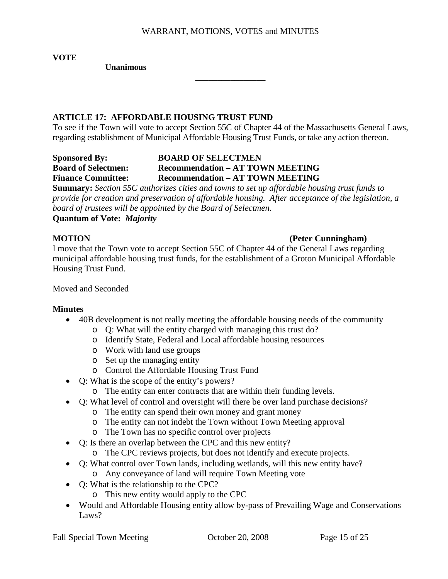\_\_\_\_\_\_\_\_\_\_\_\_\_\_\_\_

**VOTE** 

 **Unanimous** 

### **ARTICLE 17: AFFORDABLE HOUSING TRUST FUND**

To see if the Town will vote to accept Section 55C of Chapter 44 of the Massachusetts General Laws, regarding establishment of Municipal Affordable Housing Trust Funds, or take any action thereon.

### **Sponsored By: BOARD OF SELECTMEN Board of Selectmen: Recommendation – AT TOWN MEETING Finance Committee: Recommendation – AT TOWN MEETING**

**Summary:** *Section 55C authorizes cities and towns to set up affordable housing trust funds to provide for creation and preservation of affordable housing. After acceptance of the legislation, a board of trustees will be appointed by the Board of Selectmen.*

**Quantum of Vote:** *Majority* 

#### **MOTION** (Peter Cunningham)

I move that the Town vote to accept Section 55C of Chapter 44 of the General Laws regarding municipal affordable housing trust funds, for the establishment of a Groton Municipal Affordable Housing Trust Fund.

#### Moved and Seconded

### **Minutes**

- 40B development is not really meeting the affordable housing needs of the community
	- o Q: What will the entity charged with managing this trust do?
	- o Identify State, Federal and Local affordable housing resources
	- o Work with land use groups
	- o Set up the managing entity
	- o Control the Affordable Housing Trust Fund
- Q: What is the scope of the entity's powers?
	- o The entity can enter contracts that are within their funding levels.
- Q: What level of control and oversight will there be over land purchase decisions?
	- o The entity can spend their own money and grant money
	- o The entity can not indebt the Town without Town Meeting approval
	- o The Town has no specific control over projects
- Q: Is there an overlap between the CPC and this new entity?
	- o The CPC reviews projects, but does not identify and execute projects.
- Q: What control over Town lands, including wetlands, will this new entity have?
	- o Any conveyance of land will require Town Meeting vote
- Q: What is the relationship to the CPC?
	- o This new entity would apply to the CPC
- Would and Affordable Housing entity allow by-pass of Prevailing Wage and Conservations Laws?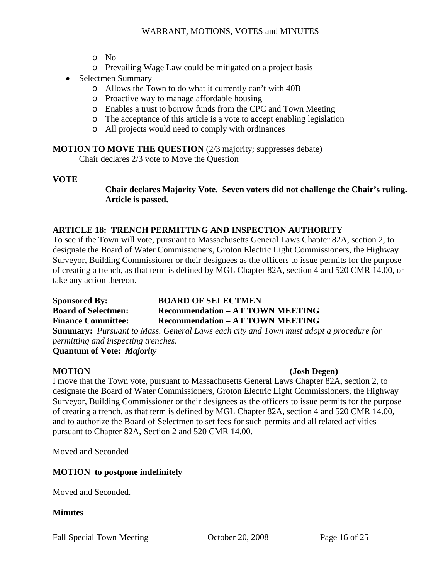- o No
- o Prevailing Wage Law could be mitigated on a project basis
- Selectmen Summary
	- o Allows the Town to do what it currently can't with 40B
	- o Proactive way to manage affordable housing
	- o Enables a trust to borrow funds from the CPC and Town Meeting
	- o The acceptance of this article is a vote to accept enabling legislation
	- o All projects would need to comply with ordinances

**MOTION TO MOVE THE QUESTION** (2/3 majority; suppresses debate)

Chair declares 2/3 vote to Move the Question

#### **VOTE**

**Chair declares Majority Vote. Seven voters did not challenge the Chair's ruling. Article is passed.** 

### **ARTICLE 18: TRENCH PERMITTING AND INSPECTION AUTHORITY**

To see if the Town will vote, pursuant to Massachusetts General Laws Chapter 82A, section 2, to designate the Board of Water Commissioners, Groton Electric Light Commissioners, the Highway Surveyor, Building Commissioner or their designees as the officers to issue permits for the purpose of creating a trench, as that term is defined by MGL Chapter 82A, section 4 and 520 CMR 14.00, or take any action thereon.

\_\_\_\_\_\_\_\_\_\_\_\_\_\_\_\_

**Sponsored By: BOARD OF SELECTMEN Board of Selectmen: Recommendation – AT TOWN MEETING Finance Committee: Recommendation – AT TOWN MEETING Summary:** *Pursuant to Mass. General Laws each city and Town must adopt a procedure for* 

*permitting and inspecting trenches.*  **Quantum of Vote:** *Majority* 

#### **MOTION (Josh Degen)**

I move that the Town vote, pursuant to Massachusetts General Laws Chapter 82A, section 2, to designate the Board of Water Commissioners, Groton Electric Light Commissioners, the Highway Surveyor, Building Commissioner or their designees as the officers to issue permits for the purpose of creating a trench, as that term is defined by MGL Chapter 82A, section 4 and 520 CMR 14.00, and to authorize the Board of Selectmen to set fees for such permits and all related activities pursuant to Chapter 82A, Section 2 and 520 CMR 14.00.

Moved and Seconded

### **MOTION to postpone indefinitely**

Moved and Seconded.

**Minutes** 

Fall Special Town Meeting Cotober 20, 2008 Page 16 of 25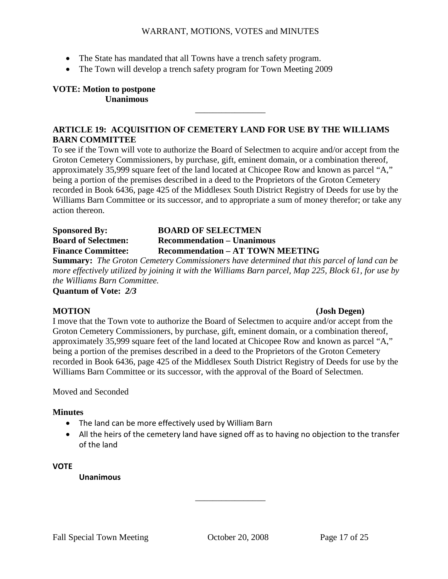- The State has mandated that all Towns have a trench safety program.
- The Town will develop a trench safety program for Town Meeting 2009

**VOTE: Motion to postpone Unanimous** 

### **ARTICLE 19: ACQUISITION OF CEMETERY LAND FOR USE BY THE WILLIAMS BARN COMMITTEE**

\_\_\_\_\_\_\_\_\_\_\_\_\_\_\_\_

To see if the Town will vote to authorize the Board of Selectmen to acquire and/or accept from the Groton Cemetery Commissioners, by purchase, gift, eminent domain, or a combination thereof, approximately 35,999 square feet of the land located at Chicopee Row and known as parcel "A," being a portion of the premises described in a deed to the Proprietors of the Groton Cemetery recorded in Book 6436, page 425 of the Middlesex South District Registry of Deeds for use by the Williams Barn Committee or its successor, and to appropriate a sum of money therefor; or take any action thereon.

| <b>Sponsored By:</b>       | <b>BOARD OF SELECTMEN</b>               |
|----------------------------|-----------------------------------------|
| <b>Board of Selectmen:</b> | <b>Recommendation – Unanimous</b>       |
| <b>Finance Committee:</b>  | <b>Recommendation – AT TOWN MEETING</b> |

**Summary:** *The Groton Cemetery Commissioners have determined that this parcel of land can be more effectively utilized by joining it with the Williams Barn parcel, Map 225, Block 61, for use by the Williams Barn Committee.*

**Quantum of Vote:** *2/3* 

#### **MOTION (Josh Degen)**

I move that the Town vote to authorize the Board of Selectmen to acquire and/or accept from the Groton Cemetery Commissioners, by purchase, gift, eminent domain, or a combination thereof, approximately 35,999 square feet of the land located at Chicopee Row and known as parcel "A," being a portion of the premises described in a deed to the Proprietors of the Groton Cemetery recorded in Book 6436, page 425 of the Middlesex South District Registry of Deeds for use by the Williams Barn Committee or its successor, with the approval of the Board of Selectmen.

Moved and Seconded

### **Minutes**

- The land can be more effectively used by William Barn
- All the heirs of the cemetery land have signed off as to having no objection to the transfer of the land

\_\_\_\_\_\_\_\_\_\_\_\_\_\_\_\_

#### **VOTE**

**Unanimous**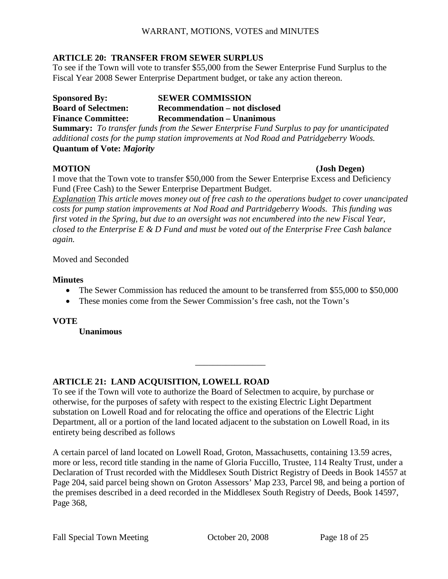#### **ARTICLE 20: TRANSFER FROM SEWER SURPLUS**

To see if the Town will vote to transfer \$55,000 from the Sewer Enterprise Fund Surplus to the Fiscal Year 2008 Sewer Enterprise Department budget, or take any action thereon.

**Sponsored By:** SEWER COMMISSION **Board of Selectmen: Recommendation – not disclosed Finance Committee: Recommendation – Unanimous Summary:** *To transfer funds from the Sewer Enterprise Fund Surplus to pay for unanticipated additional costs for the pump station improvements at Nod Road and Patridgeberry Woods.* 

**Quantum of Vote:** *Majority*

#### **MOTION (Josh Degen)**

I move that the Town vote to transfer \$50,000 from the Sewer Enterprise Excess and Deficiency Fund (Free Cash) to the Sewer Enterprise Department Budget.

*Explanation This article moves money out of free cash to the operations budget to cover unancipated costs for pump station improvements at Nod Road and Partridgeberry Woods. This funding was first voted in the Spring, but due to an oversight was not encumbered into the new Fiscal Year, closed to the Enterprise E & D Fund and must be voted out of the Enterprise Free Cash balance again.* 

Moved and Seconded

#### **Minutes**

• The Sewer Commission has reduced the amount to be transferred from \$55,000 to \$50,000

\_\_\_\_\_\_\_\_\_\_\_\_\_\_\_\_

• These monies come from the Sewer Commission's free cash, not the Town's

**VOTE** 

 **Unanimous** 

### **ARTICLE 21: LAND ACQUISITION, LOWELL ROAD**

To see if the Town will vote to authorize the Board of Selectmen to acquire, by purchase or otherwise, for the purposes of safety with respect to the existing Electric Light Department substation on Lowell Road and for relocating the office and operations of the Electric Light Department, all or a portion of the land located adjacent to the substation on Lowell Road, in its entirety being described as follows

A certain parcel of land located on Lowell Road, Groton, Massachusetts, containing 13.59 acres, more or less, record title standing in the name of Gloria Fuccillo, Trustee, 114 Realty Trust, under a Declaration of Trust recorded with the Middlesex South District Registry of Deeds in Book 14557 at Page 204, said parcel being shown on Groton Assessors' Map 233, Parcel 98, and being a portion of the premises described in a deed recorded in the Middlesex South Registry of Deeds, Book 14597, Page 368,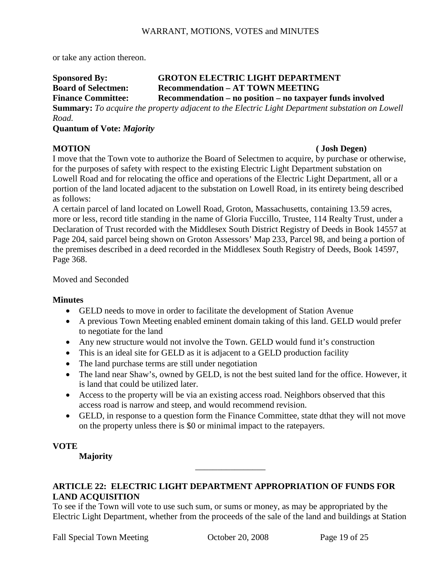or take any action thereon.

### **Sponsored By: GROTON ELECTRIC LIGHT DEPARTMENT Board of Selectmen: Recommendation – AT TOWN MEETING Finance Committee: Recommendation – no position – no taxpayer funds involved**

**Summary:** *To acquire the property adjacent to the Electric Light Department substation on Lowell Road.*

#### **Quantum of Vote:** *Majority*

#### **MOTION ( Josh Degen)**

I move that the Town vote to authorize the Board of Selectmen to acquire, by purchase or otherwise, for the purposes of safety with respect to the existing Electric Light Department substation on Lowell Road and for relocating the office and operations of the Electric Light Department, all or a portion of the land located adjacent to the substation on Lowell Road, in its entirety being described as follows:

A certain parcel of land located on Lowell Road, Groton, Massachusetts, containing 13.59 acres, more or less, record title standing in the name of Gloria Fuccillo, Trustee, 114 Realty Trust, under a Declaration of Trust recorded with the Middlesex South District Registry of Deeds in Book 14557 at Page 204, said parcel being shown on Groton Assessors' Map 233, Parcel 98, and being a portion of the premises described in a deed recorded in the Middlesex South Registry of Deeds, Book 14597, Page 368.

### Moved and Seconded

### **Minutes**

- GELD needs to move in order to facilitate the development of Station Avenue
- A previous Town Meeting enabled eminent domain taking of this land. GELD would prefer to negotiate for the land
- Any new structure would not involve the Town. GELD would fund it's construction
- This is an ideal site for GELD as it is adjacent to a GELD production facility
- The land purchase terms are still under negotiation
- The land near Shaw's, owned by GELD, is not the best suited land for the office. However, it is land that could be utilized later.
- Access to the property will be via an existing access road. Neighbors observed that this access road is narrow and steep, and would recommend revision.
- GELD, in response to a question form the Finance Committee, state dthat they will not move on the property unless there is \$0 or minimal impact to the ratepayers.

### **VOTE**

 **Majority** 

### **ARTICLE 22: ELECTRIC LIGHT DEPARTMENT APPROPRIATION OF FUNDS FOR LAND ACQUISITION**

To see if the Town will vote to use such sum, or sums or money, as may be appropriated by the Electric Light Department, whether from the proceeds of the sale of the land and buildings at Station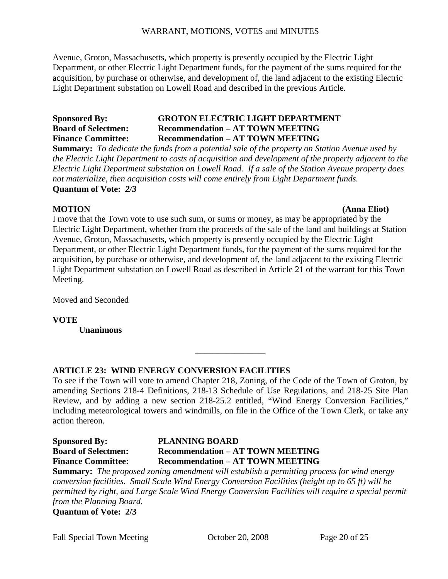Avenue, Groton, Massachusetts, which property is presently occupied by the Electric Light Department, or other Electric Light Department funds, for the payment of the sums required for the acquisition, by purchase or otherwise, and development of, the land adjacent to the existing Electric Light Department substation on Lowell Road and described in the previous Article.

### **Sponsored By: GROTON ELECTRIC LIGHT DEPARTMENT Board of Selectmen: Recommendation – AT TOWN MEETING Finance Committee: Recommendation – AT TOWN MEETING**

**Summary:** *To dedicate the funds from a potential sale of the property on Station Avenue used by the Electric Light Department to costs of acquisition and development of the property adjacent to the Electric Light Department substation on Lowell Road. If a sale of the Station Avenue property does not materialize, then acquisition costs will come entirely from Light Department funds.*  **Quantum of Vote:** *2/3* 

#### **MOTION (Anna Eliot)**

I move that the Town vote to use such sum, or sums or money, as may be appropriated by the Electric Light Department, whether from the proceeds of the sale of the land and buildings at Station Avenue, Groton, Massachusetts, which property is presently occupied by the Electric Light Department, or other Electric Light Department funds, for the payment of the sums required for the acquisition, by purchase or otherwise, and development of, the land adjacent to the existing Electric Light Department substation on Lowell Road as described in Article 21 of the warrant for this Town Meeting.

Moved and Seconded

**VOTE** 

 **Unanimous** 

### **ARTICLE 23: WIND ENERGY CONVERSION FACILITIES**

To see if the Town will vote to amend Chapter 218, Zoning, of the Code of the Town of Groton, by amending Sections 218-4 Definitions, 218-13 Schedule of Use Regulations, and 218-25 Site Plan Review, and by adding a new section 218-25.2 entitled, "Wind Energy Conversion Facilities," including meteorological towers and windmills, on file in the Office of the Town Clerk, or take any action thereon.

\_\_\_\_\_\_\_\_\_\_\_\_\_\_\_\_

#### **Sponsored By:** PLANNING BOARD<br>
Board of Selectmen: Recommendation – A' **Becommendation – AT TOWN MEETING Finance Committee: Recommendation – AT TOWN MEETING**

**Summary:** *The proposed zoning amendment will establish a permitting process for wind energy conversion facilities. Small Scale Wind Energy Conversion Facilities (height up to 65 ft) will be permitted by right, and Large Scale Wind Energy Conversion Facilities will require a special permit from the Planning Board.*

**Quantum of Vote: 2/3**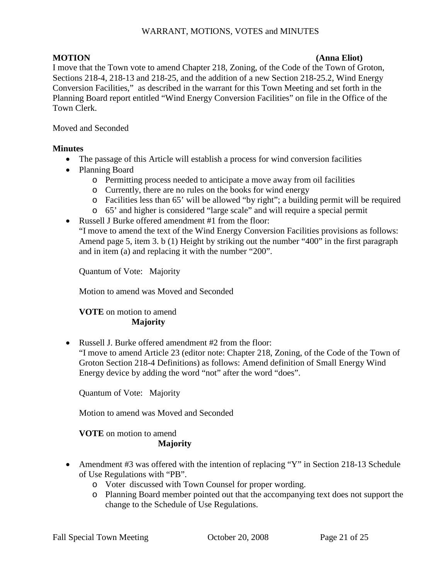#### **MOTION (Anna Eliot)**

I move that the Town vote to amend Chapter 218, Zoning, of the Code of the Town of Groton, Sections 218-4, 218-13 and 218-25, and the addition of a new Section 218-25.2, Wind Energy Conversion Facilities," as described in the warrant for this Town Meeting and set forth in the Planning Board report entitled "Wind Energy Conversion Facilities" on file in the Office of the Town Clerk.

Moved and Seconded

### **Minutes**

- The passage of this Article will establish a process for wind conversion facilities
- Planning Board
	- o Permitting process needed to anticipate a move away from oil facilities
	- o Currently, there are no rules on the books for wind energy
	- o Facilities less than 65' will be allowed "by right"; a building permit will be required
	- o 65' and higher is considered "large scale" and will require a special permit
- Russell J Burke offered amendment #1 from the floor:

"I move to amend the text of the Wind Energy Conversion Facilities provisions as follows: Amend page 5, item 3. b (1) Height by striking out the number "400" in the first paragraph and in item (a) and replacing it with the number "200".

Quantum of Vote: Majority

Motion to amend was Moved and Seconded

### **VOTE** on motion to amend **Majority**

• Russell J. Burke offered amendment #2 from the floor:

"I move to amend Article 23 (editor note: Chapter 218, Zoning, of the Code of the Town of Groton Section 218-4 Definitions) as follows: Amend definition of Small Energy Wind Energy device by adding the word "not" after the word "does".

Quantum of Vote: Majority

Motion to amend was Moved and Seconded

#### **VOTE** on motion to amend **Majority**

- Amendment #3 was offered with the intention of replacing "Y" in Section 218-13 Schedule of Use Regulations with "PB".
	- o Voter discussed with Town Counsel for proper wording.
	- o Planning Board member pointed out that the accompanying text does not support the change to the Schedule of Use Regulations.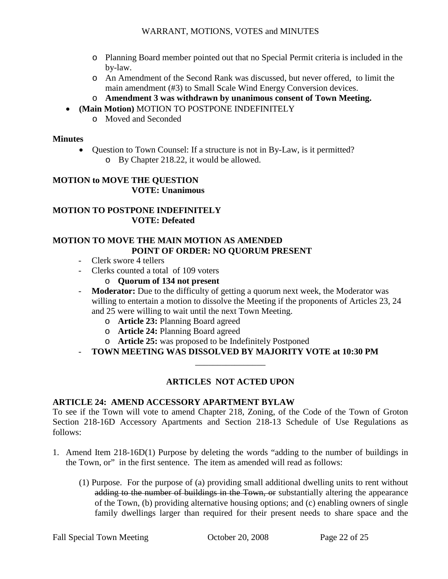- o Planning Board member pointed out that no Special Permit criteria is included in the by-law.
- o An Amendment of the Second Rank was discussed, but never offered, to limit the main amendment (#3) to Small Scale Wind Energy Conversion devices.
- o **Amendment 3 was withdrawn by unanimous consent of Town Meeting.**
- **(Main Motion)** MOTION TO POSTPONE INDEFINITELY
	- o Moved and Seconded

#### **Minutes**

• Question to Town Counsel: If a structure is not in By-Law, is it permitted? o By Chapter 218.22, it would be allowed.

#### **MOTION to MOVE THE QUESTION VOTE: Unanimous**

### **MOTION TO POSTPONE INDEFINITELY VOTE: Defeated**

#### **MOTION TO MOVE THE MAIN MOTION AS AMENDED POINT OF ORDER: NO QUORUM PRESENT**

- Clerk swore 4 tellers
- Clerks counted a total of 109 voters
	- o **Quorum of 134 not present**
- **Moderator:** Due to the difficulty of getting a quorum next week, the Moderator was willing to entertain a motion to dissolve the Meeting if the proponents of Articles 23, 24 and 25 were willing to wait until the next Town Meeting.
	- o **Article 23:** Planning Board agreed
	- o **Article 24:** Planning Board agreed
	- o **Article 25:** was proposed to be Indefinitely Postponed
- **TOWN MEETING WAS DISSOLVED BY MAJORITY VOTE at 10:30 PM** \_\_\_\_\_\_\_\_\_\_\_\_\_\_\_\_

### **ARTICLES NOT ACTED UPON**

### **ARTICLE 24: AMEND ACCESSORY APARTMENT BYLAW**

To see if the Town will vote to amend Chapter 218, Zoning, of the Code of the Town of Groton Section 218-16D Accessory Apartments and Section 218-13 Schedule of Use Regulations as follows:

- 1. Amend Item 218-16D(1) Purpose by deleting the words "adding to the number of buildings in the Town, or" in the first sentence. The item as amended will read as follows:
	- (1) Purpose. For the purpose of (a) providing small additional dwelling units to rent without adding to the number of buildings in the Town, or substantially altering the appearance of the Town, (b) providing alternative housing options; and (c) enabling owners of single family dwellings larger than required for their present needs to share space and the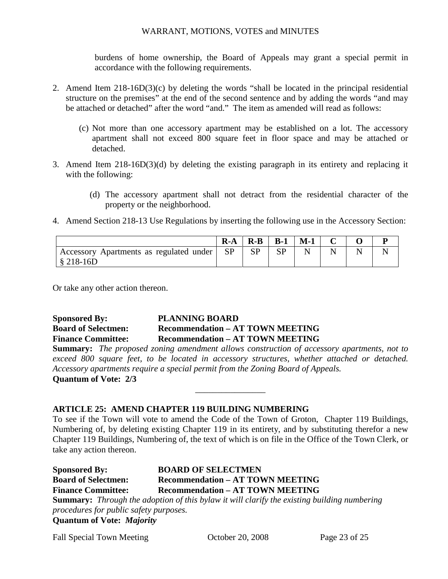burdens of home ownership, the Board of Appeals may grant a special permit in accordance with the following requirements.

- 2. Amend Item 218-16D(3)(c) by deleting the words "shall be located in the principal residential structure on the premises" at the end of the second sentence and by adding the words "and may be attached or detached" after the word "and." The item as amended will read as follows:
	- (c) Not more than one accessory apartment may be established on a lot. The accessory apartment shall not exceed 800 square feet in floor space and may be attached or detached.
- 3. Amend Item 218-16D(3)(d) by deleting the existing paragraph in its entirety and replacing it with the following:
	- (d) The accessory apartment shall not detract from the residential character of the property or the neighborhood.
- 4. Amend Section 218-13 Use Regulations by inserting the following use in the Accessory Section:

|                                                                               | $R-A$     | $R-B$     | $B-1$   | $M-1$ |  |  |
|-------------------------------------------------------------------------------|-----------|-----------|---------|-------|--|--|
| <sup>1</sup> Accessory Apartments as regulated under<br>$\frac{8}{9}$ 218-16D | <b>SP</b> | <b>SP</b> | CD<br>ມ |       |  |  |

Or take any other action thereon.

### **Sponsored By: PLANNING BOARD Board of Selectmen: Recommendation – AT TOWN MEETING Finance Committee: Recommendation – AT TOWN MEETING**

**Summary:** *The proposed zoning amendment allows construction of accessory apartments, not to exceed 800 square feet, to be located in accessory structures, whether attached or detached. Accessory apartments require a special permit from the Zoning Board of Appeals.*

\_\_\_\_\_\_\_\_\_\_\_\_\_\_\_\_

**Quantum of Vote: 2/3** 

### **ARTICLE 25: AMEND CHAPTER 119 BUILDING NUMBERING**

To see if the Town will vote to amend the Code of the Town of Groton, Chapter 119 Buildings, Numbering of, by deleting existing Chapter 119 in its entirety, and by substituting therefor a new Chapter 119 Buildings, Numbering of, the text of which is on file in the Office of the Town Clerk, or take any action thereon.

| <b>Sponsored By:</b>                   | <b>BOARD OF SELECTMEN</b>                                                                          |
|----------------------------------------|----------------------------------------------------------------------------------------------------|
| <b>Board of Selectmen:</b>             | <b>Recommendation - AT TOWN MEETING</b>                                                            |
| <b>Finance Committee:</b>              | <b>Recommendation – AT TOWN MEETING</b>                                                            |
|                                        | <b>Summary:</b> Through the adoption of this bylaw it will clarify the existing building numbering |
| procedures for public safety purposes. |                                                                                                    |
| <b>Quantum of Vote: Majority</b>       |                                                                                                    |

Fall Special Town Meeting Corober 20, 2008 Page 23 of 25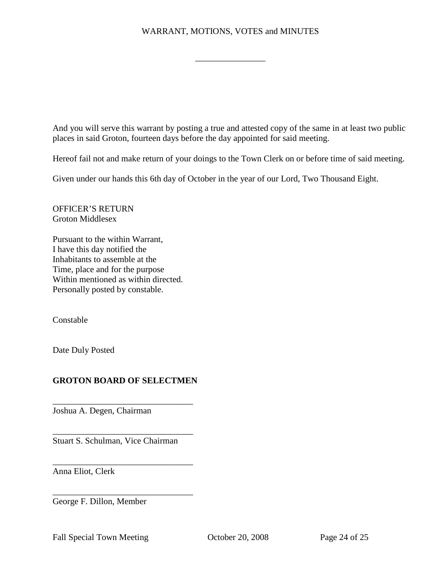\_\_\_\_\_\_\_\_\_\_\_\_\_\_\_\_

And you will serve this warrant by posting a true and attested copy of the same in at least two public places in said Groton, fourteen days before the day appointed for said meeting.

Hereof fail not and make return of your doings to the Town Clerk on or before time of said meeting.

Given under our hands this 6th day of October in the year of our Lord, Two Thousand Eight.

OFFICER'S RETURN Groton Middlesex

Pursuant to the within Warrant, I have this day notified the Inhabitants to assemble at the Time, place and for the purpose Within mentioned as within directed. Personally posted by constable.

Constable

Date Duly Posted

### **GROTON BOARD OF SELECTMEN**

\_\_\_\_\_\_\_\_\_\_\_\_\_\_\_\_\_\_\_\_\_\_\_\_\_\_\_\_\_\_\_\_

\_\_\_\_\_\_\_\_\_\_\_\_\_\_\_\_\_\_\_\_\_\_\_\_\_\_\_\_\_\_\_\_

\_\_\_\_\_\_\_\_\_\_\_\_\_\_\_\_\_\_\_\_\_\_\_\_\_\_\_\_\_\_\_\_

\_\_\_\_\_\_\_\_\_\_\_\_\_\_\_\_\_\_\_\_\_\_\_\_\_\_\_\_\_\_\_\_

Joshua A. Degen, Chairman

Stuart S. Schulman, Vice Chairman

Anna Eliot, Clerk

George F. Dillon, Member

Fall Special Town Meeting Corober 20, 2008 Page 24 of 25